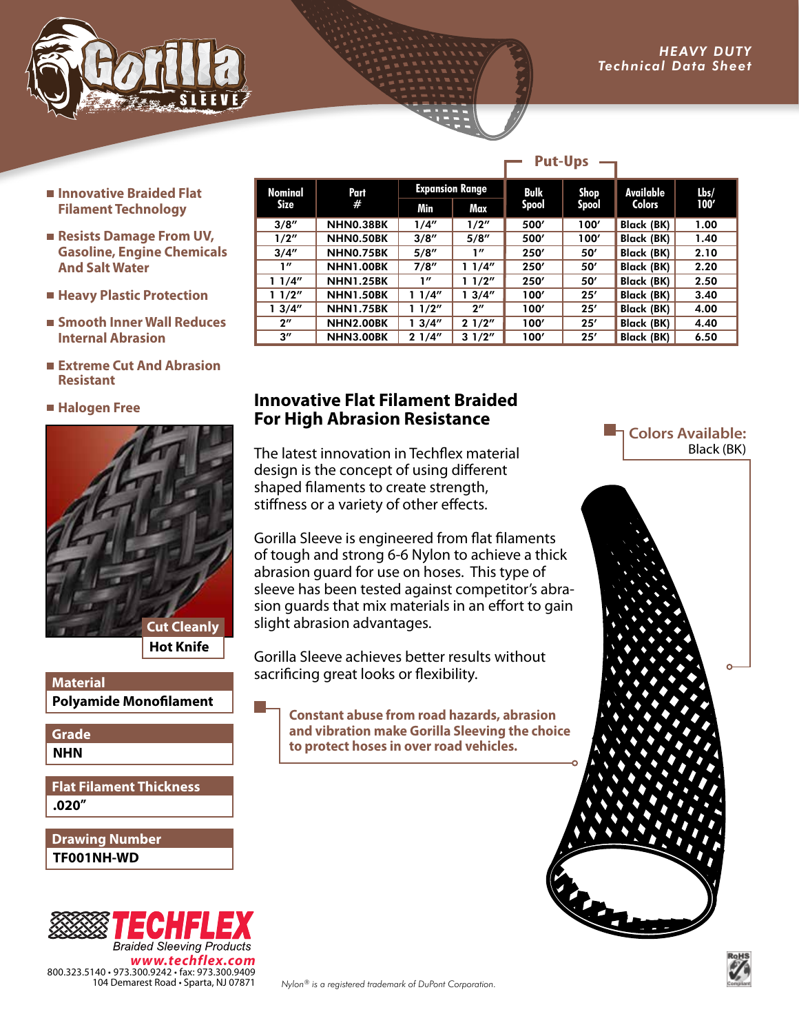

- **Innovative Braided Flat Filament Technology**
- **Resists Damage From UV, Gasoline, Engine Chemicals And Salt Water**
- **Heavy Plastic Protection**
- **Smooth Inner Wall Reduces Internal Abrasion**
- **Extreme Cut And Abrasion Resistant**
- **Halogen Free**



**Hot Knife**

#### **Polyamide Monofilament Material**

**NHN Grade**

#### **.020" Flat Filament Thickness**

**TF001NH-WD Drawing Number**



| Nominal<br>Size    | Part<br>#        | <b>Expansion Range</b> |                    | Bulk         | Shop  | Available         | Lbs/ |
|--------------------|------------------|------------------------|--------------------|--------------|-------|-------------------|------|
|                    |                  | Min                    | Max                | <b>Spool</b> | Spool | <b>Colors</b>     | 100' |
| 3/8''              | NHN0.38BK        | 1/4''                  | 1/2''              | 500'         | 100'  | <b>Black (BK)</b> | 1.00 |
| 1/2"               | NHN0.50BK        | 3/8''                  | 5/8''              | 500'         | 100'  | <b>Black (BK)</b> | 1.40 |
| 3/4''              | NHN0.75BK        | 5/8''                  | 1″                 | 250'         | 50'   | <b>Black (BK)</b> | 2.10 |
| 1''                | <b>NHN1.00BK</b> | 7/8''                  | 11/4"              | 250'         | 50'   | <b>Black (BK)</b> | 2.20 |
| 11/4"              | <b>NHN1.25BK</b> | 1''                    | 11/2"              | 250'         | 50'   | Black (BK)        | 2.50 |
| 11/2"              | <b>NHN1.50BK</b> | 11/4"                  | 13/4''             | 100'         | 25'   | Black (BK)        | 3.40 |
| 13/4''             | <b>NHN1.75BK</b> | 11/2"                  | $2^{\prime\prime}$ | 100'         | 25'   | Black (BK)        | 4.00 |
| $2^{\prime\prime}$ | <b>NHN2.00BK</b> | 13/4''                 | 21/2"              | 100'         | 25'   | <b>Black (BK)</b> | 4.40 |
| $3^{\prime\prime}$ | <b>NHN3.00BK</b> | 21/4"                  | 31/2"              | 100'         | 25'   | <b>Black (BK)</b> | 6.50 |

**Put-Ups**

### **Innovative Flat Filament Braided For High Abrasion Resistance**

The latest innovation in Techflex material design is the concept of using different shaped filaments to create strength, stiffness or a variety of other effects.

Gorilla Sleeve is engineered from flat filaments of tough and strong 6-6 Nylon to achieve a thick abrasion guard for use on hoses. This type of sleeve has been tested against competitor's abrasion guards that mix materials in an effort to gain slight abrasion advantages.

Gorilla Sleeve achieves better results without sacrificing great looks or flexibility.

**Constant abuse from road hazards, abrasion and vibration make Gorilla Sleeving the choice to protect hoses in over road vehicles.**

#### **Lating Colors Available:** Black (BK)